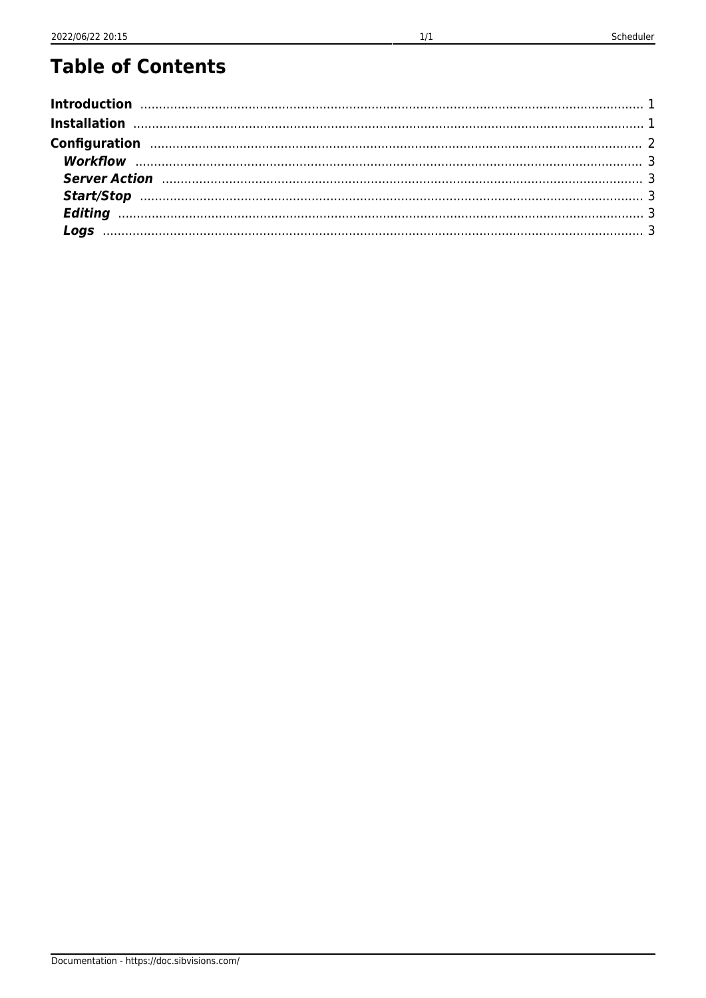### **Table of Contents**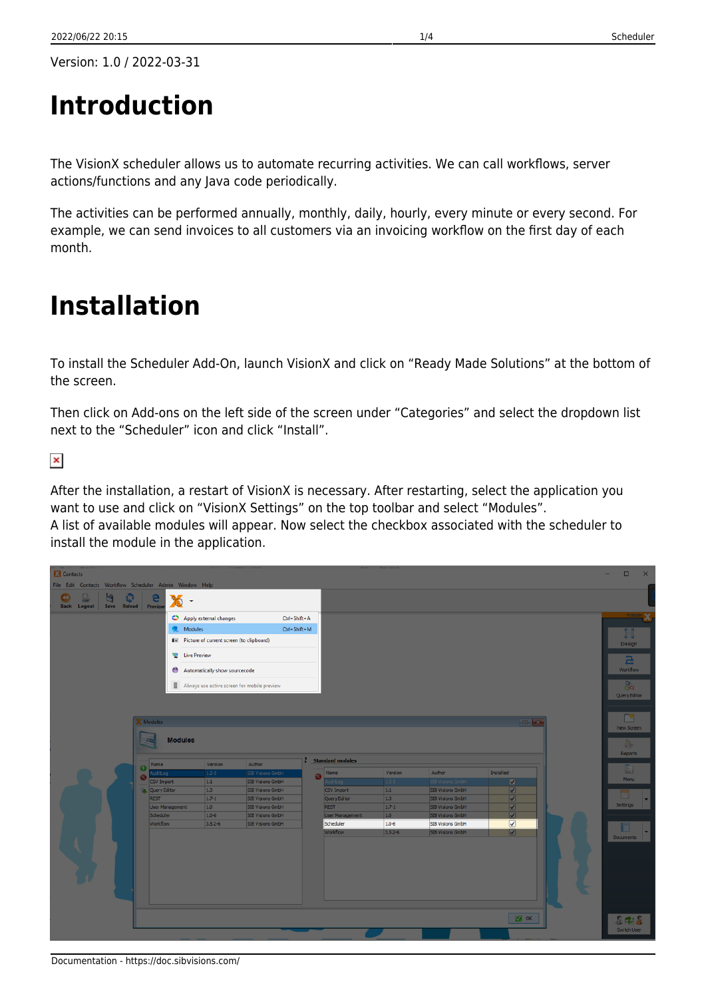# <span id="page-1-0"></span>**Introduction**

The VisionX scheduler allows us to automate recurring activities. We can call workflows, server actions/functions and any Java code periodically.

The activities can be performed annually, monthly, daily, hourly, every minute or every second. For example, we can send invoices to all customers via an invoicing workflow on the first day of each month.

## <span id="page-1-1"></span>**Installation**

To install the Scheduler Add-On, launch VisionX and click on "Ready Made Solutions" at the bottom of the screen.

Then click on Add-ons on the left side of the screen under "Categories" and select the dropdown list next to the "Scheduler" icon and click "Install".

 $\pmb{\times}$ 

After the installation, a restart of VisionX is necessary. After restarting, select the application you want to use and click on "VisionX Settings" on the top toolbar and select "Modules". A list of available modules will appear. Now select the checkbox associated with the scheduler to install the module in the application.

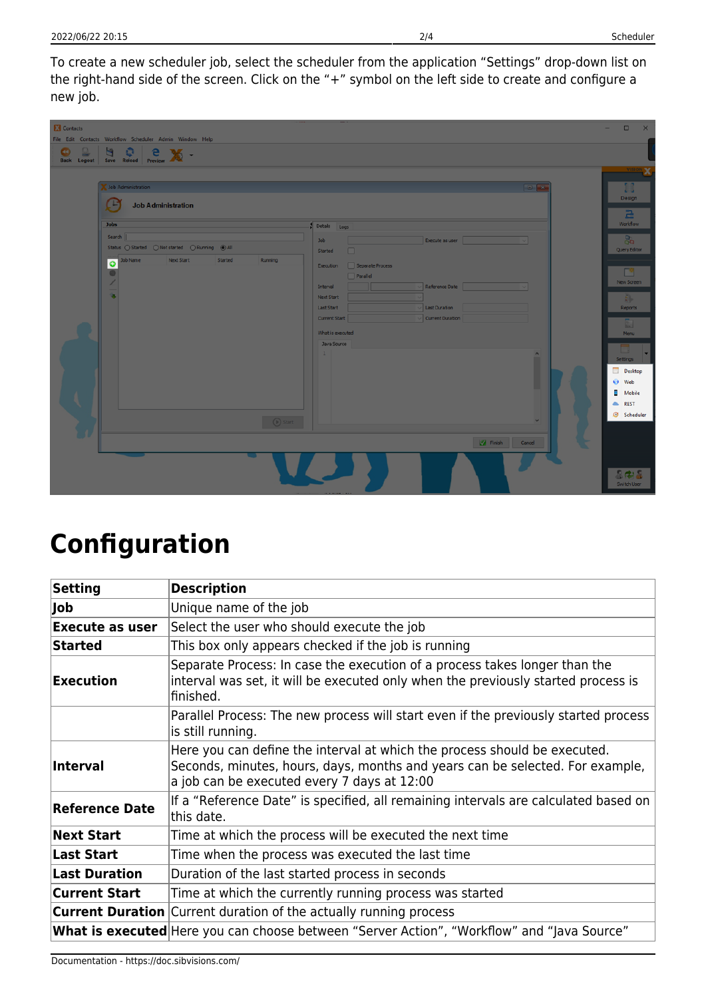To create a new scheduler job, select the scheduler from the application "Settings" drop-down list on the right-hand side of the screen. Click on the "+" symbol on the left side to create and configure a new job.

| <b>Contacts</b><br>Q<br>$\bullet$<br><b>Back Logout</b> | File Edit Contacts Workflow Scheduler Admin Window Help<br>o<br>e<br>$\mathcal{H}$ .<br>Save Reload Preview                                                                                           | н.                                                                                                                                                                                                    | $\Box$<br>$\times$                                                                                                                                   |
|---------------------------------------------------------|-------------------------------------------------------------------------------------------------------------------------------------------------------------------------------------------------------|-------------------------------------------------------------------------------------------------------------------------------------------------------------------------------------------------------|------------------------------------------------------------------------------------------------------------------------------------------------------|
|                                                         | Job Administration<br><b>Job Administration</b><br><b>Jobs</b><br>Search  <br>Status ( Started ( ) Not started ( ) Running ( ● All<br><b>Job Name</b><br>Next Start<br>Started<br><b>Running</b><br>o | $-$<br>Details Logs<br>Execute as user<br>Job<br>$\Box$<br>Started<br>Execution Separate Process                                                                                                      | 1.3<br>49<br>Design<br>$\Xi$<br>Workflow<br>89<br>Query Editor<br>г۹                                                                                 |
|                                                         | u.                                                                                                                                                                                                    | $\Box$ Parallel<br>Reference Date<br>Interval<br><b>Next Start</b><br>Last Duration<br>Last Start<br>Current Duration<br>Current Start<br>What is executed<br>Java Source<br>1<br>$\hat{\phantom{a}}$ | <b>New Screen</b><br>Đ,<br>Reports<br>$\begin{bmatrix} 1 \\ 0 \end{bmatrix}$<br>Menu<br>-<br>▄<br><b>Settings</b><br><b>Desktop</b><br>Web<br>Mobile |
|                                                         | (D) Start                                                                                                                                                                                             | $\checkmark$<br>Finish Cancel                                                                                                                                                                         | <b>REST</b><br>Scheduler<br>8.78<br>Switch User                                                                                                      |

## <span id="page-2-0"></span>**Configuration**

| <b>Setting</b>         | <b>Description</b>                                                                                                                                                                                        |  |  |
|------------------------|-----------------------------------------------------------------------------------------------------------------------------------------------------------------------------------------------------------|--|--|
| Job                    | Unique name of the job                                                                                                                                                                                    |  |  |
| <b>Execute as user</b> | Select the user who should execute the job                                                                                                                                                                |  |  |
| <b>Started</b>         | This box only appears checked if the job is running                                                                                                                                                       |  |  |
| <b>Execution</b>       | Separate Process: In case the execution of a process takes longer than the<br>interval was set, it will be executed only when the previously started process is<br>finished.                              |  |  |
|                        | Parallel Process: The new process will start even if the previously started process<br>is still running.                                                                                                  |  |  |
| <b>Interval</b>        | Here you can define the interval at which the process should be executed.<br>Seconds, minutes, hours, days, months and years can be selected. For example,<br>a job can be executed every 7 days at 12:00 |  |  |
| <b>Reference Date</b>  | If a "Reference Date" is specified, all remaining intervals are calculated based on<br>this date.                                                                                                         |  |  |
| <b>Next Start</b>      | Time at which the process will be executed the next time                                                                                                                                                  |  |  |
| <b>Last Start</b>      | Time when the process was executed the last time                                                                                                                                                          |  |  |
| <b>Last Duration</b>   | Duration of the last started process in seconds                                                                                                                                                           |  |  |
| <b>Current Start</b>   | Time at which the currently running process was started                                                                                                                                                   |  |  |
|                        | <b>Current Duration</b> Current duration of the actually running process                                                                                                                                  |  |  |
|                        | <b>What is executed</b> Here you can choose between "Server Action", "Workflow" and "Java Source"                                                                                                         |  |  |

Documentation - https://doc.sibvisions.com/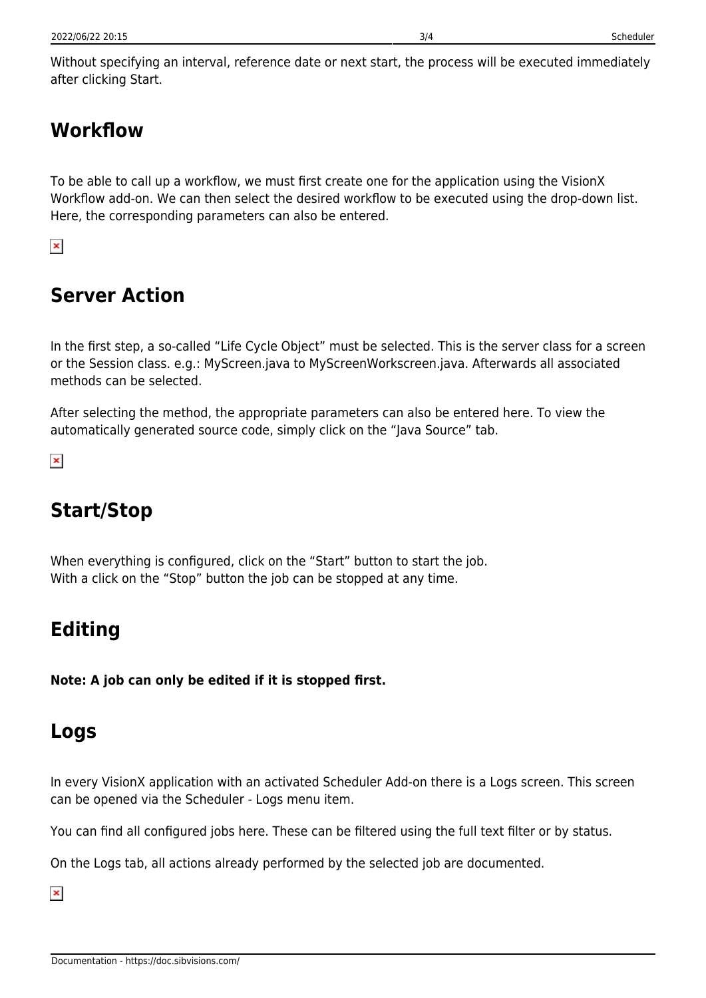Without specifying an interval, reference date or next start, the process will be executed immediately after clicking Start.

### <span id="page-3-0"></span>**Workflow**

To be able to call up a workflow, we must first create one for the application using the VisionX Workflow add-on. We can then select the desired workflow to be executed using the drop-down list. Here, the corresponding parameters can also be entered.

 $\pmb{\times}$ 

#### <span id="page-3-1"></span>**Server Action**

In the first step, a so-called "Life Cycle Object" must be selected. This is the server class for a screen or the Session class. e.g.: MyScreen.java to MyScreenWorkscreen.java. Afterwards all associated methods can be selected.

After selecting the method, the appropriate parameters can also be entered here. To view the automatically generated source code, simply click on the "Java Source" tab.

 $\pmb{\times}$ 

### <span id="page-3-2"></span>**Start/Stop**

When everything is configured, click on the "Start" button to start the job. With a click on the "Stop" button the job can be stopped at any time.

#### <span id="page-3-3"></span>**Editing**

**Note: A job can only be edited if it is stopped first.**

#### <span id="page-3-4"></span>**Logs**

In every VisionX application with an activated Scheduler Add-on there is a Logs screen. This screen can be opened via the Scheduler - Logs menu item.

You can find all configured jobs here. These can be filtered using the full text filter or by status.

On the Logs tab, all actions already performed by the selected job are documented.

 $\pmb{\times}$